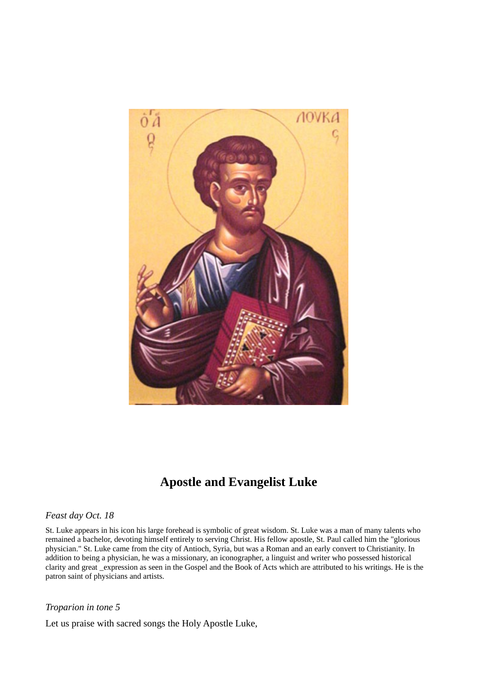

## **Apostle and Evangelist Luke**

## *Feast day Oct. 18*

St. Luke appears in his icon his large forehead is symbolic of great wisdom. St. Luke was a man of many talents who remained a bachelor, devoting himself entirely to serving Christ. His fellow apostle, St. Paul called him the "glorious physician." St. Luke came from the city of Antioch, Syria, but was a Roman and an early convert to Christianity. In addition to being a physician, he was a missionary, an iconographer, a linguist and writer who possessed historical clarity and great \_expression as seen in the Gospel and the Book of Acts which are attributed to his writings. He is the patron saint of physicians and artists.

## *Troparion in tone 5*

Let us praise with sacred songs the Holy Apostle Luke,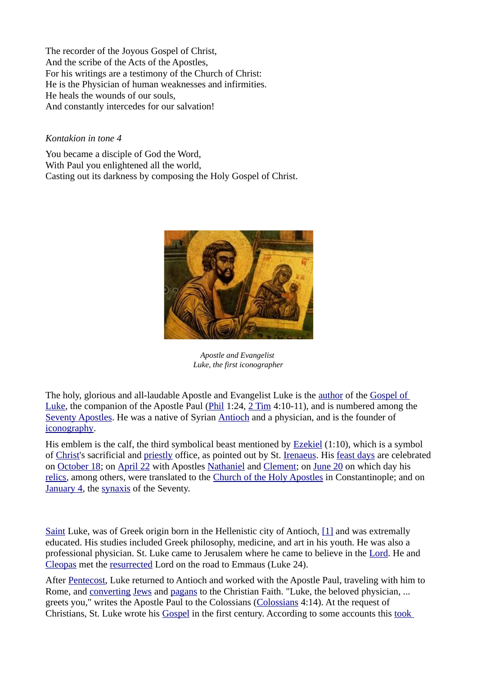The recorder of the Joyous Gospel of Christ, And the scribe of the Acts of the Apostles, For his writings are a testimony of the Church of Christ: He is the Physician of human weaknesses and infirmities. He heals the wounds of our souls, And constantly intercedes for our salvation!

## *Kontakion in tone 4*

You became a disciple of God the Word, With Paul you enlightened all the world, Casting out its darkness by composing the Holy Gospel of Christ.



*Apostle and Evangelist Luke, the first iconographer*

The holy, glorious and all-laudable Apostle and Evangelist Luke is the [author](http://orthodoxwiki.org/Evangelist) of the [Gospel of](http://orthodoxwiki.org/Gospel_of_Luke) [Luke,](http://orthodoxwiki.org/Gospel_of_Luke) the companion of the Apostle Paul [\(Phil](http://orthodoxwiki.org/Book_of_Philemon) 1:24, [2 Tim](http://orthodoxwiki.org/index.php?title=II_Timothy&action=edit) 4:10-11), and is numbered among the [Seventy Apostles.](http://orthodoxwiki.org/Apostles#The_Seventy) He was a native of Syrian [Antioch](http://orthodoxwiki.org/Church_of_Antioch) and a physician, and is the founder of [iconography.](http://orthodoxwiki.org/Iconography)

His emblem is the calf, the third symbolical beast mentioned by [Ezekiel](http://orthodoxwiki.org/index.php?title=Book_of_Ezekiel&action=edit) (1:10), which is a symbol of [Christ'](http://orthodoxwiki.org/Christ)s sacrificial and [priestly](http://orthodoxwiki.org/Priest) office, as pointed out by St. [Irenaeus.](http://orthodoxwiki.org/Irenaeus_of_Lyons) His [feast days](http://orthodoxwiki.org/Feast_day) are celebrated on [October 18;](http://orthodoxwiki.org/October_18) on [April 22](http://orthodoxwiki.org/April_22) with Apostles [Nathaniel](http://orthodoxwiki.org/Apostle_Nathaniel) and [Clement;](http://orthodoxwiki.org/Apostle_Clement) on [June 20](http://orthodoxwiki.org/June_20) on which day his [relics,](http://orthodoxwiki.org/Relics) among others, were translated to the [Church of the Holy Apostles](http://orthodoxwiki.org/Church_of_the_Holy_Apostles_(Constantinople)) in Constantinople; and on [January 4,](http://orthodoxwiki.org/January_4) the [synaxis](http://orthodoxwiki.org/Synaxis) of the Seventy.

[Saint](http://orthodoxwiki.org/Saint) Luke, was of Greek origin born in the Hellenistic city of Antioch, [\[1\]](http://orthodoxwiki.org/Apostle_Luke#cite_note-0) and was extremally educated. His studies included Greek philosophy, medicine, and art in his youth. He was also a professional physician. St. Luke came to Jerusalem where he came to believe in the [Lord.](http://orthodoxwiki.org/Jesus) He and [Cleopas](http://orthodoxwiki.org/Apostle_Cleopas) met the [resurrected](http://orthodoxwiki.org/Resurrection) Lord on the road to Emmaus (Luke 24).

After [Pentecost,](http://orthodoxwiki.org/Pentecost) Luke returned to Antioch and worked with the Apostle Paul, traveling with him to Rome, and [converting](http://orthodoxwiki.org/Conversion) [Jews](http://orthodoxwiki.org/Judaism) and [pagans](http://orthodoxwiki.org/Pagan) to the Christian Faith. "Luke, the beloved physician, ... greets you," writes the Apostle Paul to the Colossians [\(Colossians](http://orthodoxwiki.org/index.php?title=Colossians&action=edit) 4:14). At the request of Christians, St. Luke wrote his [Gospel](http://orthodoxwiki.org/Gospel) in the first century. According to some accounts this [took](http://orthodoxwiki.org/Timeline_of_Church_History)